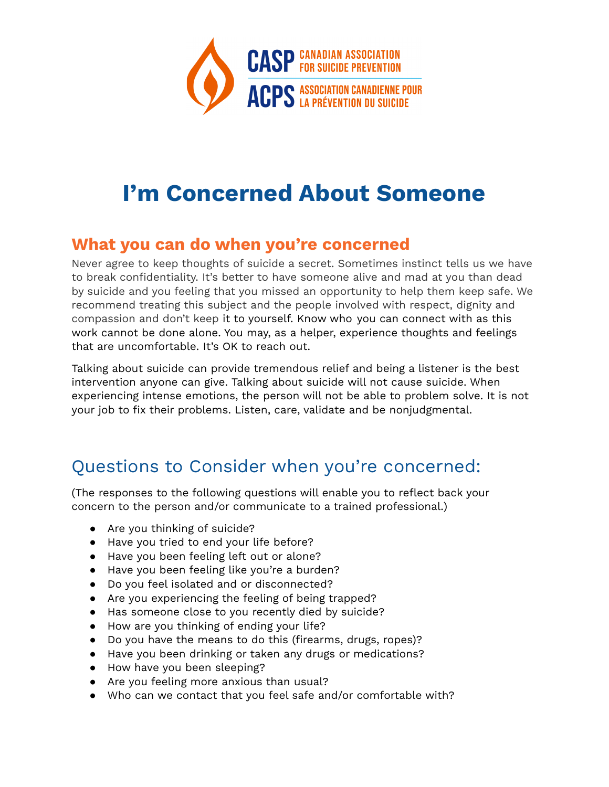

# **I'm Concerned About Someone**

#### **What you can do when you're concerned**

Never agree to keep thoughts of suicide a secret. Sometimes instinct tells us we have to break confidentiality. It's better to have someone alive and mad at you than dead by suicide and you feeling that you missed an opportunity to help them keep safe. We recommend treating this subject and the people involved with respect, dignity and compassion and don't keep it to yourself. Know who you can connect with as this work cannot be done alone. You may, as a helper, experience thoughts and feelings that are uncomfortable. It's OK to reach out.

Talking about suicide can provide tremendous relief and being a listener is the best intervention anyone can give. Talking about suicide will not cause suicide. When experiencing intense emotions, the person will not be able to problem solve. It is not your job to fix their problems. Listen, care, validate and be nonjudgmental.

# Questions to Consider when you're concerned:

(The responses to the following questions will enable you to reflect back your concern to the person and/or communicate to a trained professional.)

- Are you thinking of suicide?
- Have you tried to end your life before?
- Have you been feeling left out or alone?
- Have you been feeling like you're a burden?
- Do you feel isolated and or disconnected?
- Are you experiencing the feeling of being trapped?
- Has someone close to you recently died by suicide?
- How are you thinking of ending your life?
- Do you have the means to do this (firearms, drugs, ropes)?
- Have you been drinking or taken any drugs or medications?
- How have you been sleeping?
- Are you feeling more anxious than usual?
- Who can we contact that you feel safe and/or comfortable with?